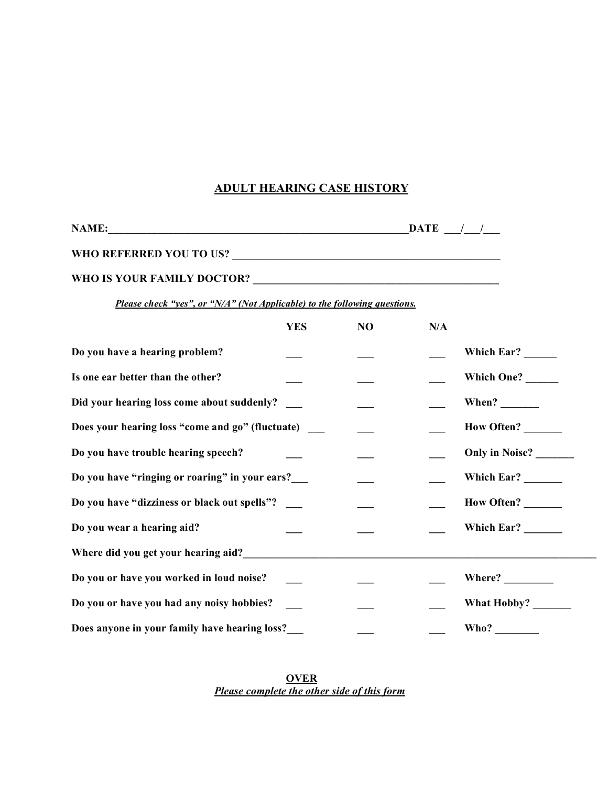## **ADULT HEARING CASE HISTORY**

| <b>NAME:</b>                                                              | $\mathbf{DATE}$ $\frac{1}{2}$ |    |     |                       |  |  |
|---------------------------------------------------------------------------|-------------------------------|----|-----|-----------------------|--|--|
|                                                                           |                               |    |     |                       |  |  |
|                                                                           |                               |    |     |                       |  |  |
| Please check "yes", or "N/A" (Not Applicable) to the following questions. |                               |    |     |                       |  |  |
|                                                                           | <b>YES</b>                    | NO | N/A |                       |  |  |
| Do you have a hearing problem?                                            |                               |    |     | Which Ear? ______     |  |  |
| Is one ear better than the other?                                         |                               |    |     | Which One?            |  |  |
| Did your hearing loss come about suddenly?                                |                               |    |     | When? $\qquad \qquad$ |  |  |
| Does your hearing loss "come and go" (fluctuate)                          |                               |    |     | How Often?            |  |  |
| Do you have trouble hearing speech?                                       |                               |    |     | Only in Noise?        |  |  |
| Do you have "ringing or roaring" in your ears?                            |                               |    |     | Which Ear?            |  |  |
| Do you have "dizziness or black out spells"?                              |                               |    |     | <b>How Often?</b>     |  |  |
| Do you wear a hearing aid?                                                |                               |    |     | Which Ear?            |  |  |
| Where did you get your hearing aid?                                       |                               |    |     |                       |  |  |
| Do you or have you worked in loud noise?                                  |                               |    |     | Where?                |  |  |
| Do you or have you had any noisy hobbies?                                 |                               |    |     |                       |  |  |
| Does anyone in your family have hearing loss?                             |                               |    |     | Who?                  |  |  |

**OVER** *Please complete the other side of this form*